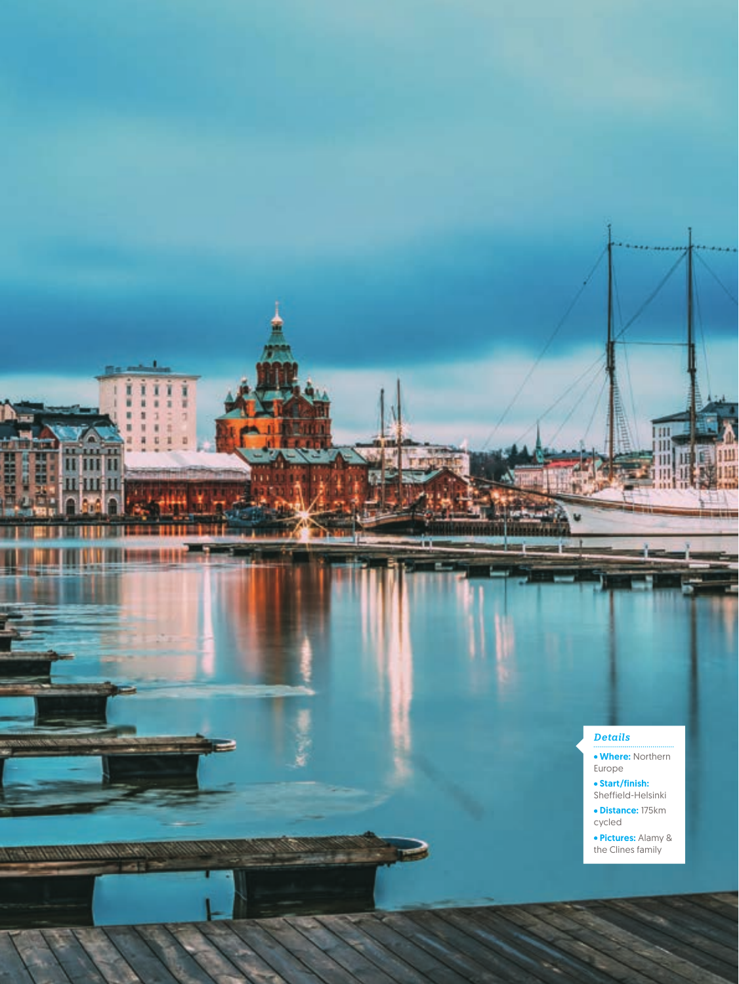## *Details*

**56** cycle FEBRUARY

 $\lambda$  and  $\lambda$  and  $\lambda$ 

Ï ï ì ı

шı ш

- Where: Northern Europe
- Start/finish: Sheffield-Helsinki
- Distance: 175km cycled
- Pictures: Alamy & the Clines family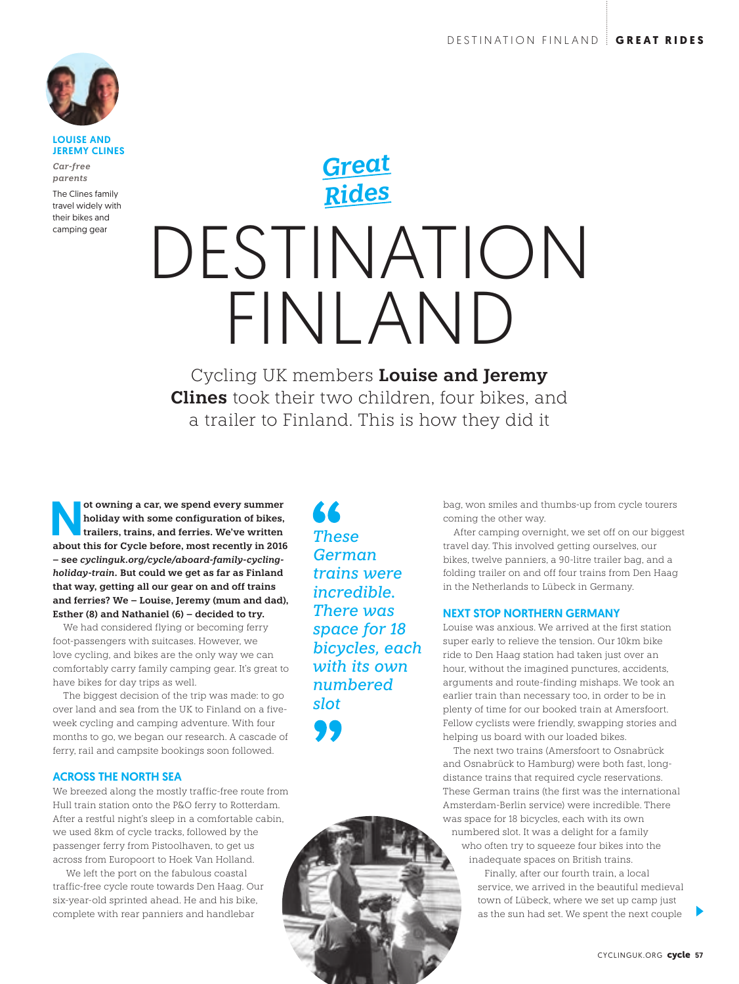

#### LOUISE AND JEREMY CLINES

*Car-free parents*

The Clines family travel widely with their bikes and camping gear

# DESTINATION FINLAND *Great Rides*

Cycling UK members **Louise and Jeremy Clines** took their two children, four bikes, and a trailer to Finland. This is how they did it

ot owning a car, we spend every summer<br>
holiday with some configuration of bikes,<br>
trailers, trains, and ferries. We've written<br>
about this for Cyclo before, most recontly in 2016 **holiday with some configuration of bikes, trailers, trains, and ferries. We've written about this for Cycle before, most recently in 2016 – see** *cyclinguk.org/cycle/aboard-family-cyclingholiday-train.* **But could we get as far as Finland that way, getting all our gear on and off trains and ferries? We – Louise, Jeremy (mum and dad), Esther (8) and Nathaniel (6) – decided to try.** 

We had considered flying or becoming ferry foot-passengers with suitcases. However, we love cycling, and bikes are the only way we can comfortably carry family camping gear. It's great to have bikes for day trips as well.

The biggest decision of the trip was made: to go over land and sea from the UK to Finland on a fiveweek cycling and camping adventure. With four months to go, we began our research. A cascade of ferry, rail and campsite bookings soon followed.

## ACROSS THE NORTH SEA

We breezed along the mostly traffic-free route from Hull train station onto the P&O ferry to Rotterdam. After a restful night's sleep in a comfortable cabin, we used 8km of cycle tracks, followed by the passenger ferry from Pistoolhaven, to get us across from Europoort to Hoek Van Holland.

 We left the port on the fabulous coastal traffic-free cycle route towards Den Haag. Our six-year-old sprinted ahead. He and his bike, complete with rear panniers and handlebar

**AR** *These German trains were incredible. There was space for 18 bicycles, each with its own numbered slot*

bag, won smiles and thumbs-up from cycle tourers coming the other way.

After camping overnight, we set off on our biggest travel day. This involved getting ourselves, our bikes, twelve panniers, a 90-litre trailer bag, and a folding trailer on and off four trains from Den Haag in the Netherlands to Lübeck in Germany.

#### NEXT STOP NORTHERN GERMANY

Louise was anxious. We arrived at the first station super early to relieve the tension. Our 10km bike ride to Den Haag station had taken just over an hour, without the imagined punctures, accidents, arguments and route-finding mishaps. We took an earlier train than necessary too, in order to be in plenty of time for our booked train at Amersfoort. Fellow cyclists were friendly, swapping stories and helping us board with our loaded bikes.

The next two trains (Amersfoort to Osnabrück and Osnabrück to Hamburg) were both fast, longdistance trains that required cycle reservations. These German trains (the first was the international Amsterdam-Berlin service) were incredible. There was space for 18 bicycles, each with its own numbered slot. It was a delight for a family who often try to squeeze four bikes into the

inadequate spaces on British trains. Finally, after our fourth train, a local

service, we arrived in the beautiful medieval town of Lübeck, where we set up camp just as the sun had set. We spent the next couple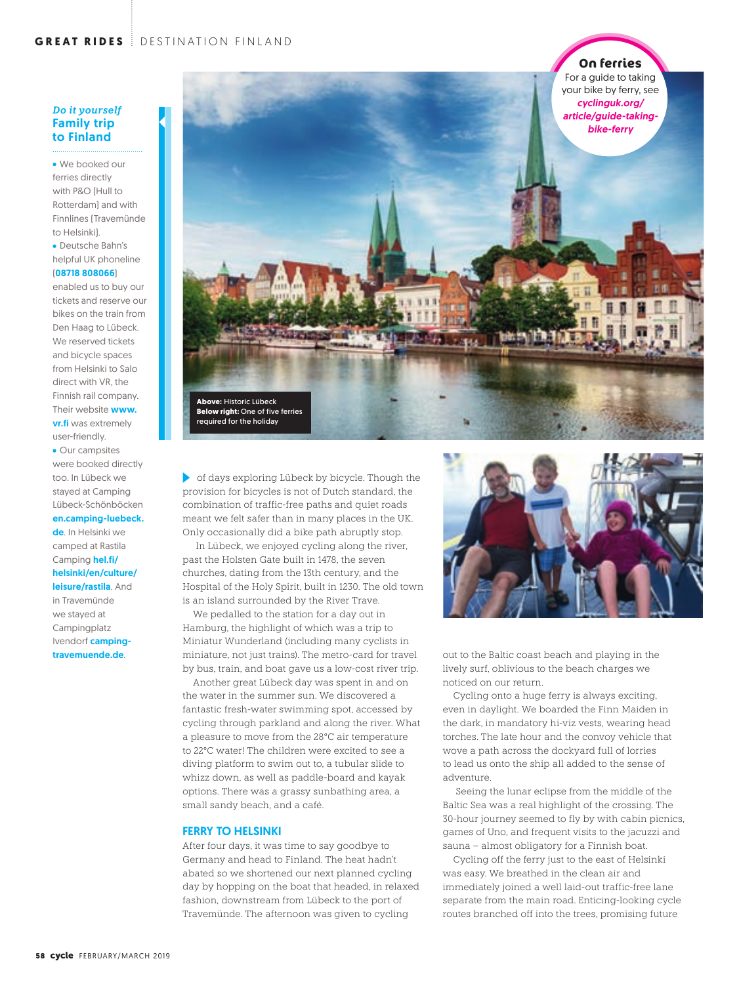### *Do it yourself* Family trip to Finland

We booked our ferries directly with P&O (Hull to Rotterdam) and with Finnlines (Travemünde to Helsinki).

Deutsche Bahn's helpful UK phoneline

## (08718 808066)

enabled us to buy our tickets and reserve our bikes on the train from Den Haag to Lübeck. We reserved tickets and bicycle spaces from Helsinki to Salo direct with VR, the Finnish rail company. Their website **www.** vr.fi was extremely user-friendly.

• Our campsites were booked directly too. In Lübeck we stayed at Camping Lübeck-Schönböcken en.camping-luebeck. de. In Helsinki we camped at Rastila Camping hel.fi/ helsinki/en/culture/ leisure/rastila. And in Travemünde we stayed at Campingplatz Ivendorf camping-

travemuende.de.



of days exploring Lübeck by bicycle. Though the provision for bicycles is not of Dutch standard, the combination of traffic-free paths and quiet roads meant we felt safer than in many places in the UK. Only occasionally did a bike path abruptly stop.

 In Lübeck, we enjoyed cycling along the river, past the Holsten Gate built in 1478, the seven churches, dating from the 13th century, and the Hospital of the Holy Spirit, built in 1230. The old town is an island surrounded by the River Trave.

We pedalled to the station for a day out in Hamburg, the highlight of which was a trip to Miniatur Wunderland (including many cyclists in miniature, not just trains). The metro-card for travel by bus, train, and boat gave us a low-cost river trip.

Another great Lübeck day was spent in and on the water in the summer sun. We discovered a fantastic fresh-water swimming spot, accessed by cycling through parkland and along the river. What a pleasure to move from the 28°C air temperature to 22°C water! The children were excited to see a diving platform to swim out to, a tubular slide to whizz down, as well as paddle-board and kayak options. There was a grassy sunbathing area, a small sandy beach, and a café.

#### FERRY TO HELSINKI

After four days, it was time to say goodbye to Germany and head to Finland. The heat hadn't abated so we shortened our next planned cycling day by hopping on the boat that headed, in relaxed fashion, downstream from Lübeck to the port of Travemünde. The afternoon was given to cycling



out to the Baltic coast beach and playing in the lively surf, oblivious to the beach charges we noticed on our return.

Cycling onto a huge ferry is always exciting, even in daylight. We boarded the Finn Maiden in the dark, in mandatory hi-viz vests, wearing head torches. The late hour and the convoy vehicle that wove a path across the dockyard full of lorries to lead us onto the ship all added to the sense of adventure.

 Seeing the lunar eclipse from the middle of the Baltic Sea was a real highlight of the crossing. The 30-hour journey seemed to fly by with cabin picnics, games of Uno, and frequent visits to the jacuzzi and sauna – almost obligatory for a Finnish boat.

Cycling off the ferry just to the east of Helsinki was easy. We breathed in the clean air and immediately joined a well laid-out traffic-free lane separate from the main road. Enticing-looking cycle routes branched off into the trees, promising future